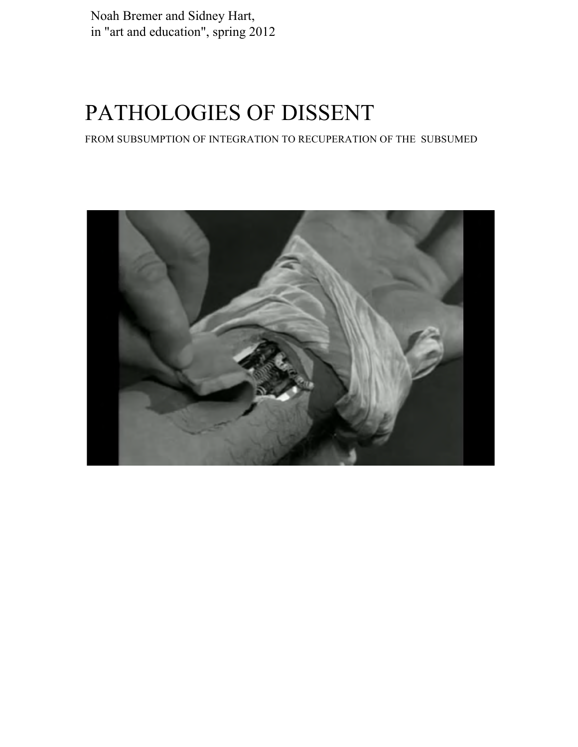Noah Bremer and Sidney Hart, in "art and education", spring 2012

# PATHOLOGIES OF DISSENT

FROM SUBSUMPTION OF INTEGRATION TO RECUPERATION OF THE SUBSUMED

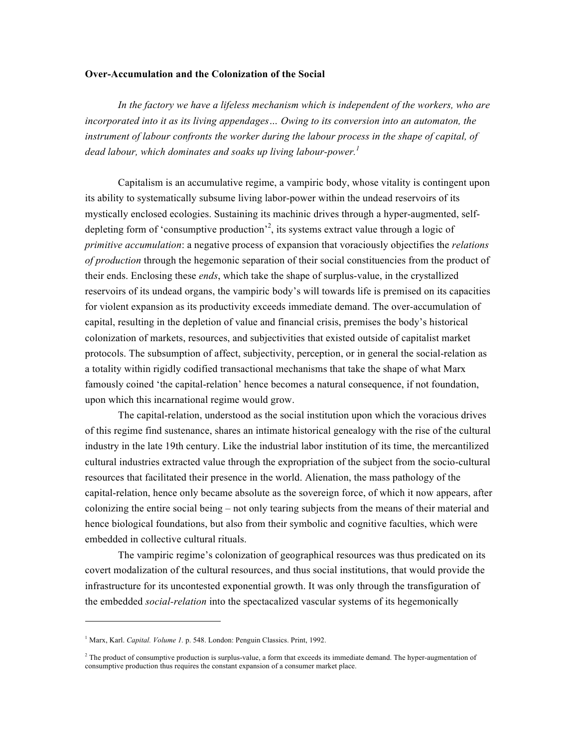#### **Over-Accumulation and the Colonization of the Social**

*In the factory we have a lifeless mechanism which is independent of the workers, who are incorporated into it as its living appendages… Owing to its conversion into an automaton, the instrument of labour confronts the worker during the labour process in the shape of capital, of dead labour, which dominates and soaks up living labour-power. 1*

Capitalism is an accumulative regime, a vampiric body, whose vitality is contingent upon its ability to systematically subsume living labor-power within the undead reservoirs of its mystically enclosed ecologies. Sustaining its machinic drives through a hyper-augmented, selfdepleting form of 'consumptive production'<sup>2</sup>, its systems extract value through a logic of *primitive accumulation*: a negative process of expansion that voraciously objectifies the *relations of production* through the hegemonic separation of their social constituencies from the product of their ends. Enclosing these *ends*, which take the shape of surplus-value, in the crystallized reservoirs of its undead organs, the vampiric body's will towards life is premised on its capacities for violent expansion as its productivity exceeds immediate demand. The over-accumulation of capital, resulting in the depletion of value and financial crisis, premises the body's historical colonization of markets, resources, and subjectivities that existed outside of capitalist market protocols. The subsumption of affect, subjectivity, perception, or in general the social-relation as a totality within rigidly codified transactional mechanisms that take the shape of what Marx famously coined 'the capital-relation' hence becomes a natural consequence, if not foundation, upon which this incarnational regime would grow.

The capital-relation, understood as the social institution upon which the voracious drives of this regime find sustenance, shares an intimate historical genealogy with the rise of the cultural industry in the late 19th century. Like the industrial labor institution of its time, the mercantilized cultural industries extracted value through the expropriation of the subject from the socio-cultural resources that facilitated their presence in the world. Alienation, the mass pathology of the capital-relation, hence only became absolute as the sovereign force, of which it now appears, after colonizing the entire social being – not only tearing subjects from the means of their material and hence biological foundations, but also from their symbolic and cognitive faculties, which were embedded in collective cultural rituals.

The vampiric regime's colonization of geographical resources was thus predicated on its covert modalization of the cultural resources, and thus social institutions, that would provide the infrastructure for its uncontested exponential growth. It was only through the transfiguration of the embedded *social-relation* into the spectacalized vascular systems of its hegemonically

<sup>&</sup>lt;sup>1</sup> Marx, Karl. *Capital. Volume 1.* p. 548. London: Penguin Classics. Print, 1992.

 $2$ <sup>2</sup> The product of consumptive production is surplus-value, a form that exceeds its immediate demand. The hyper-augmentation of consumptive production thus requires the constant expansion of a consumer market place.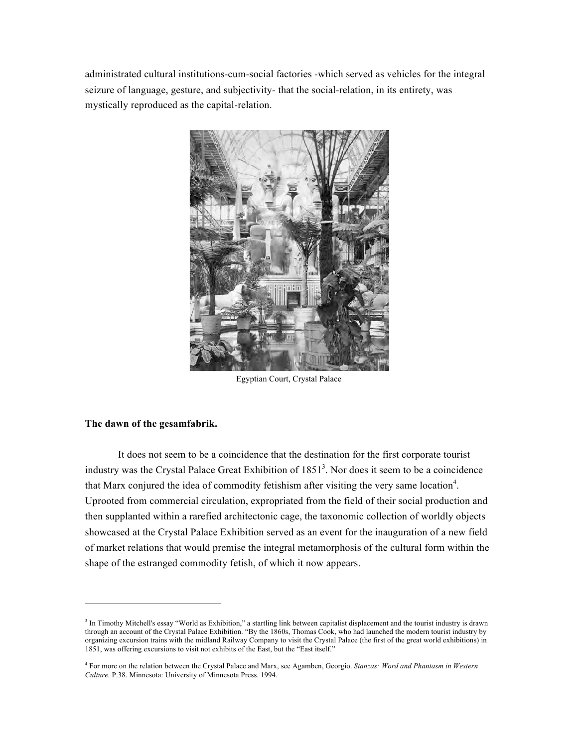administrated cultural institutions-cum-social factories -which served as vehicles for the integral seizure of language, gesture, and subjectivity- that the social-relation, in its entirety, was mystically reproduced as the capital-relation.



Egyptian Court, Crystal Palace

# **The dawn of the gesamfabrik.**

It does not seem to be a coincidence that the destination for the first corporate tourist industry was the Crystal Palace Great Exhibition of  $1851<sup>3</sup>$ . Nor does it seem to be a coincidence that Marx conjured the idea of commodity fetishism after visiting the very same location<sup>4</sup>. Uprooted from commercial circulation, expropriated from the field of their social production and then supplanted within a rarefied architectonic cage, the taxonomic collection of worldly objects showcased at the Crystal Palace Exhibition served as an event for the inauguration of a new field of market relations that would premise the integral metamorphosis of the cultural form within the shape of the estranged commodity fetish, of which it now appears.

 $3$  In Timothy Mitchell's essay "World as Exhibition," a startling link between capitalist displacement and the tourist industry is drawn through an account of the Crystal Palace Exhibition. "By the 1860s, Thomas Cook, who had launched the modern tourist industry by organizing excursion trains with the midland Railway Company to visit the Crystal Palace (the first of the great world exhibitions) in 1851, was offering excursions to visit not exhibits of the East, but the "East itself."

<sup>4</sup> For more on the relation between the Crystal Palace and Marx, see Agamben, Georgio. *Stanzas: Word and Phantasm in Western Culture.* P.38. Minnesota: University of Minnesota Press. 1994.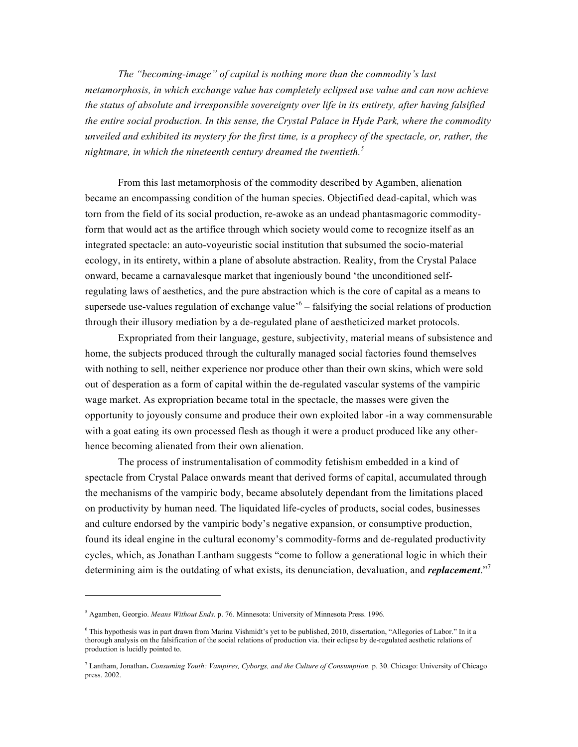*The "becoming-image" of capital is nothing more than the commodity's last metamorphosis, in which exchange value has completely eclipsed use value and can now achieve the status of absolute and irresponsible sovereignty over life in its entirety, after having falsified the entire social production. In this sense, the Crystal Palace in Hyde Park, where the commodity unveiled and exhibited its mystery for the first time, is a prophecy of the spectacle, or, rather, the nightmare, in which the nineteenth century dreamed the twentieth.<sup>5</sup>*

From this last metamorphosis of the commodity described by Agamben, alienation became an encompassing condition of the human species. Objectified dead-capital, which was torn from the field of its social production, re-awoke as an undead phantasmagoric commodityform that would act as the artifice through which society would come to recognize itself as an integrated spectacle: an auto-voyeuristic social institution that subsumed the socio-material ecology, in its entirety, within a plane of absolute abstraction. Reality, from the Crystal Palace onward, became a carnavalesque market that ingeniously bound 'the unconditioned selfregulating laws of aesthetics, and the pure abstraction which is the core of capital as a means to supersede use-values regulation of exchange value<sup> $6$ </sup> – falsifying the social relations of production through their illusory mediation by a de-regulated plane of aestheticized market protocols.

Expropriated from their language, gesture, subjectivity, material means of subsistence and home, the subjects produced through the culturally managed social factories found themselves with nothing to sell, neither experience nor produce other than their own skins, which were sold out of desperation as a form of capital within the de-regulated vascular systems of the vampiric wage market. As expropriation became total in the spectacle, the masses were given the opportunity to joyously consume and produce their own exploited labor -in a way commensurable with a goat eating its own processed flesh as though it were a product produced like any otherhence becoming alienated from their own alienation.

The process of instrumentalisation of commodity fetishism embedded in a kind of spectacle from Crystal Palace onwards meant that derived forms of capital, accumulated through the mechanisms of the vampiric body, became absolutely dependant from the limitations placed on productivity by human need. The liquidated life-cycles of products, social codes, businesses and culture endorsed by the vampiric body's negative expansion, or consumptive production, found its ideal engine in the cultural economy's commodity-forms and de-regulated productivity cycles, which, as Jonathan Lantham suggests "come to follow a generational logic in which their determining aim is the outdating of what exists, its denunciation, devaluation, and *replacement*."<sup>7</sup>

<sup>5</sup> Agamben, Georgio. *Means Without Ends.* p. 76. Minnesota: University of Minnesota Press. 1996.

<sup>6</sup> This hypothesis was in part drawn from Marina Vishmidt's yet to be published, 2010, dissertation, "Allegories of Labor." In it a thorough analysis on the falsification of the social relations of production via. their eclipse by de-regulated aesthetic relations of production is lucidly pointed to.

<sup>7</sup> Lantham, Jonathan**.** *Consuming Youth: Vampires, Cyborgs, and the Culture of Consumption.* p. 30. Chicago: University of Chicago press. 2002.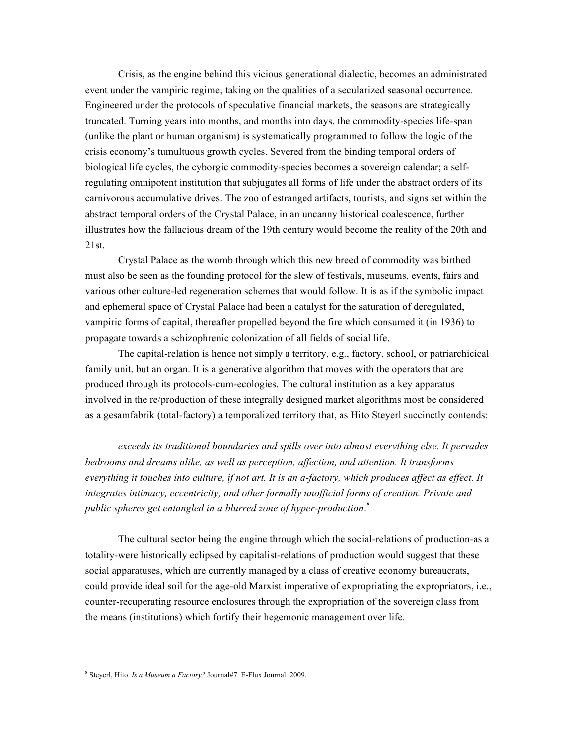Crisis, as the engine behind this vicious generational dialectic, becomes an administrated event under the vampiric regime, taking on the qualities of a secularized seasonal occurrence. Engineered under the protocols of speculative financial markets, the seasons are strategically truncated. Turning years into months, and months into days, the commodity-species life-span (unlike the plant or human organism) is systematically programmed to follow the logic of the crisis economy's tumultuous growth cycles. Severed from the binding temporal orders of biological life cycles, the cyborgic commodity-species becomes a sovereign calendar; a selfregulating omnipotent institution that subjugates all forms of life under the abstract orders of its carnivorous accumulative drives. The zoo of estranged artifacts, tourists, and signs set within the abstract temporal orders of the Crystal Palace, in an uncanny historical coalescence, further illustrates how the fallacious dream of the 19th century would become the reality of the 20th and 21st.

Crystal Palace as the womb through which this new breed of commodity was birthed must also be seen as the founding protocol for the slew of festivals, museums, events, fairs and various other culture-led regeneration schemes that would follow. It is as if the symbolic impact and ephemeral space of Crystal Palace had been a catalyst for the saturation of deregulated, vampiric forms of capital, thereafter propelled beyond the fire which consumed it (in 1936) to propagate towards a schizophrenic colonization of all fields of social life.

The capital-relation is hence not simply a territory, e.g., factory, school, or patriarchicical family unit, but an organ. It is a generative algorithm that moves with the operators that are produced through its protocols-cum-ecologies. The cultural institution as a key apparatus involved in the re/production of these integrally designed market algorithms most be considered as a gesamfabrik (total-factory) a temporalized territory that, as Hito Steyerl succinctly contends:

*exceeds its traditional boundaries and spills over into almost everything else. It pervades bedrooms and dreams alike, as well as perception, affection, and attention. It transforms everything it touches into culture, if not art. It is an a-factory, which produces affect as effect. It integrates intimacy, eccentricity, and other formally unofficial forms of creation. Private and public spheres get entangled in a blurred zone of hyper-production*. 8

The cultural sector being the engine through which the social-relations of production-as a totality-were historically eclipsed by capitalist-relations of production would suggest that these social apparatuses, which are currently managed by a class of creative economy bureaucrats, could provide ideal soil for the age-old Marxist imperative of expropriating the expropriators, i.e., counter-recuperating resource enclosures through the expropriation of the sovereign class from the means (institutions) which fortify their hegemonic management over life.

<sup>8</sup> Steyerl, Hito. *Is a Museum a Factory?* Journal#7. E-Flux Journal. 2009.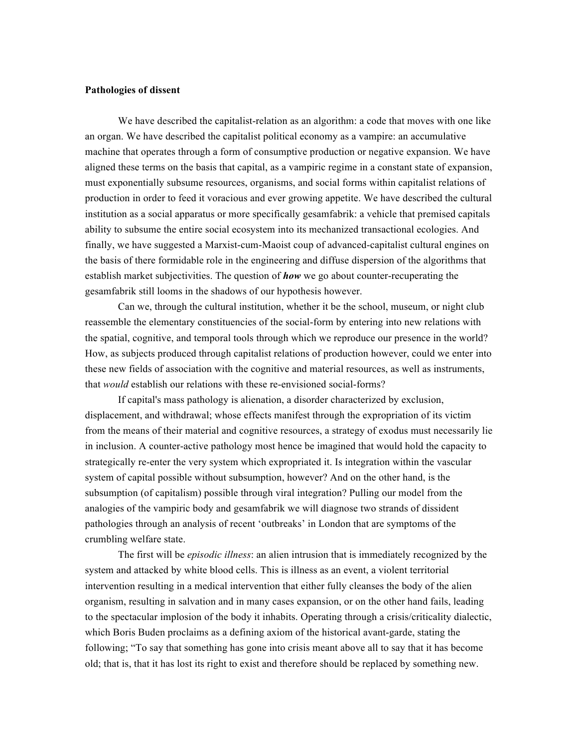#### **Pathologies of dissent**

We have described the capitalist-relation as an algorithm: a code that moves with one like an organ. We have described the capitalist political economy as a vampire: an accumulative machine that operates through a form of consumptive production or negative expansion. We have aligned these terms on the basis that capital, as a vampiric regime in a constant state of expansion, must exponentially subsume resources, organisms, and social forms within capitalist relations of production in order to feed it voracious and ever growing appetite. We have described the cultural institution as a social apparatus or more specifically gesamfabrik: a vehicle that premised capitals ability to subsume the entire social ecosystem into its mechanized transactional ecologies. And finally, we have suggested a Marxist-cum-Maoist coup of advanced-capitalist cultural engines on the basis of there formidable role in the engineering and diffuse dispersion of the algorithms that establish market subjectivities. The question of *how* we go about counter-recuperating the gesamfabrik still looms in the shadows of our hypothesis however.

Can we, through the cultural institution, whether it be the school, museum, or night club reassemble the elementary constituencies of the social-form by entering into new relations with the spatial, cognitive, and temporal tools through which we reproduce our presence in the world? How, as subjects produced through capitalist relations of production however, could we enter into these new fields of association with the cognitive and material resources, as well as instruments, that *would* establish our relations with these re-envisioned social-forms?

If capital's mass pathology is alienation, a disorder characterized by exclusion, displacement, and withdrawal; whose effects manifest through the expropriation of its victim from the means of their material and cognitive resources, a strategy of exodus must necessarily lie in inclusion. A counter-active pathology most hence be imagined that would hold the capacity to strategically re-enter the very system which expropriated it. Is integration within the vascular system of capital possible without subsumption, however? And on the other hand, is the subsumption (of capitalism) possible through viral integration? Pulling our model from the analogies of the vampiric body and gesamfabrik we will diagnose two strands of dissident pathologies through an analysis of recent 'outbreaks' in London that are symptoms of the crumbling welfare state.

The first will be *episodic illness*: an alien intrusion that is immediately recognized by the system and attacked by white blood cells. This is illness as an event, a violent territorial intervention resulting in a medical intervention that either fully cleanses the body of the alien organism, resulting in salvation and in many cases expansion, or on the other hand fails, leading to the spectacular implosion of the body it inhabits. Operating through a crisis/criticality dialectic, which Boris Buden proclaims as a defining axiom of the historical avant-garde, stating the following; "To say that something has gone into crisis meant above all to say that it has become old; that is, that it has lost its right to exist and therefore should be replaced by something new.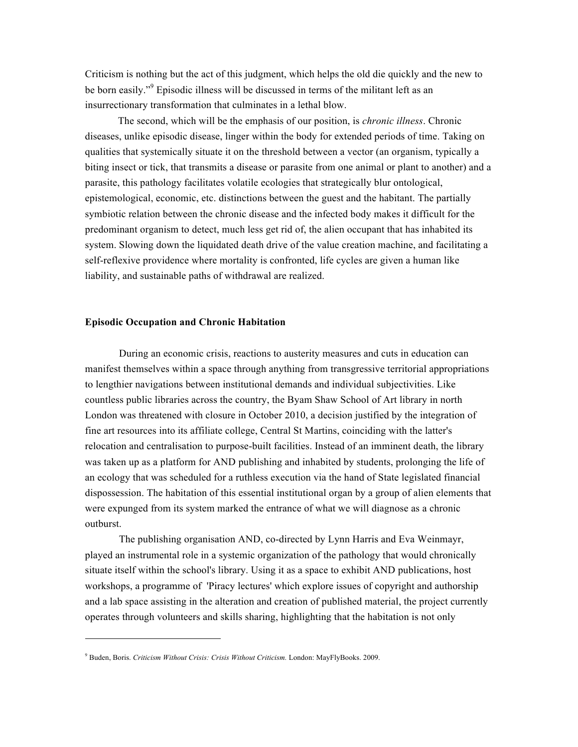Criticism is nothing but the act of this judgment, which helps the old die quickly and the new to be born easily."<sup>9</sup> Episodic illness will be discussed in terms of the militant left as an insurrectionary transformation that culminates in a lethal blow.

The second, which will be the emphasis of our position, is *chronic illness*. Chronic diseases, unlike episodic disease, linger within the body for extended periods of time. Taking on qualities that systemically situate it on the threshold between a vector (an organism, typically a biting insect or tick, that transmits a disease or parasite from one animal or plant to another) and a parasite, this pathology facilitates volatile ecologies that strategically blur ontological, epistemological, economic, etc. distinctions between the guest and the habitant. The partially symbiotic relation between the chronic disease and the infected body makes it difficult for the predominant organism to detect, much less get rid of, the alien occupant that has inhabited its system. Slowing down the liquidated death drive of the value creation machine, and facilitating a self-reflexive providence where mortality is confronted, life cycles are given a human like liability, and sustainable paths of withdrawal are realized.

## **Episodic Occupation and Chronic Habitation**

During an economic crisis, reactions to austerity measures and cuts in education can manifest themselves within a space through anything from transgressive territorial appropriations to lengthier navigations between institutional demands and individual subjectivities. Like countless public libraries across the country, the Byam Shaw School of Art library in north London was threatened with closure in October 2010, a decision justified by the integration of fine art resources into its affiliate college, Central St Martins, coinciding with the latter's relocation and centralisation to purpose-built facilities. Instead of an imminent death, the library was taken up as a platform for AND publishing and inhabited by students, prolonging the life of an ecology that was scheduled for a ruthless execution via the hand of State legislated financial dispossession. The habitation of this essential institutional organ by a group of alien elements that were expunged from its system marked the entrance of what we will diagnose as a chronic outburst.

The publishing organisation AND, co-directed by Lynn Harris and Eva Weinmayr, played an instrumental role in a systemic organization of the pathology that would chronically situate itself within the school's library. Using it as a space to exhibit AND publications, host workshops, a programme of 'Piracy lectures' which explore issues of copyright and authorship and a lab space assisting in the alteration and creation of published material, the project currently operates through volunteers and skills sharing, highlighting that the habitation is not only

<sup>9</sup> Buden, Boris. *Criticism Without Crisis: Crisis Without Criticism.* London: MayFlyBooks. 2009.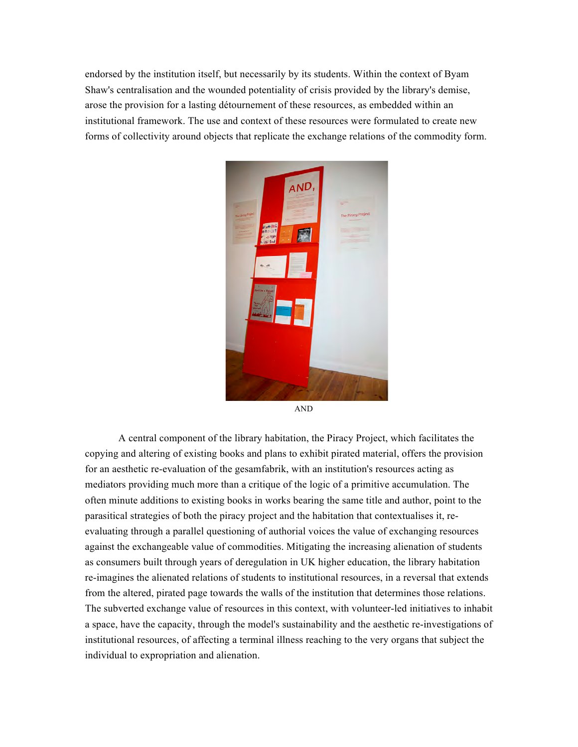endorsed by the institution itself, but necessarily by its students. Within the context of Byam Shaw's centralisation and the wounded potentiality of crisis provided by the library's demise, arose the provision for a lasting détournement of these resources, as embedded within an institutional framework. The use and context of these resources were formulated to create new forms of collectivity around objects that replicate the exchange relations of the commodity form.



A central component of the library habitation, the Piracy Project, which facilitates the copying and altering of existing books and plans to exhibit pirated material, offers the provision for an aesthetic re-evaluation of the gesamfabrik, with an institution's resources acting as mediators providing much more than a critique of the logic of a primitive accumulation. The often minute additions to existing books in works bearing the same title and author, point to the parasitical strategies of both the piracy project and the habitation that contextualises it, reevaluating through a parallel questioning of authorial voices the value of exchanging resources against the exchangeable value of commodities. Mitigating the increasing alienation of students as consumers built through years of deregulation in UK higher education, the library habitation re-imagines the alienated relations of students to institutional resources, in a reversal that extends from the altered, pirated page towards the walls of the institution that determines those relations. The subverted exchange value of resources in this context, with volunteer-led initiatives to inhabit a space, have the capacity, through the model's sustainability and the aesthetic re-investigations of institutional resources, of affecting a terminal illness reaching to the very organs that subject the individual to expropriation and alienation.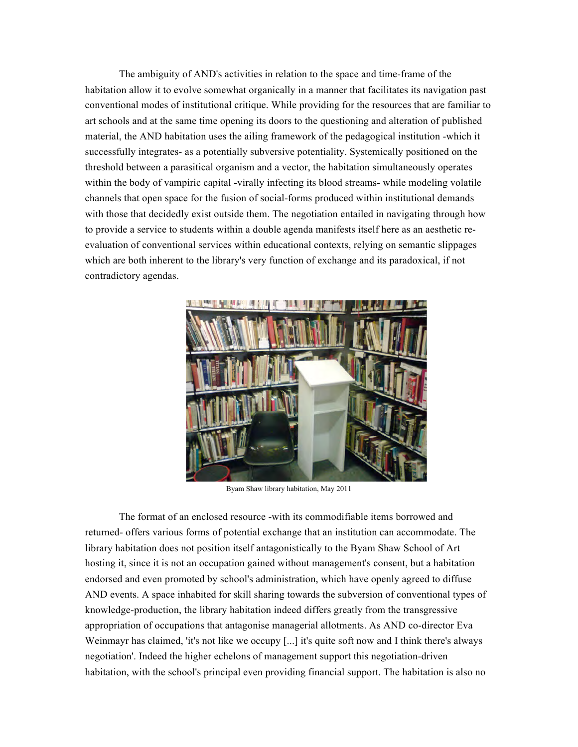The ambiguity of AND's activities in relation to the space and time-frame of the habitation allow it to evolve somewhat organically in a manner that facilitates its navigation past conventional modes of institutional critique. While providing for the resources that are familiar to art schools and at the same time opening its doors to the questioning and alteration of published material, the AND habitation uses the ailing framework of the pedagogical institution -which it successfully integrates- as a potentially subversive potentiality. Systemically positioned on the threshold between a parasitical organism and a vector, the habitation simultaneously operates within the body of vampiric capital -virally infecting its blood streams- while modeling volatile channels that open space for the fusion of social-forms produced within institutional demands with those that decidedly exist outside them. The negotiation entailed in navigating through how to provide a service to students within a double agenda manifests itself here as an aesthetic reevaluation of conventional services within educational contexts, relying on semantic slippages which are both inherent to the library's very function of exchange and its paradoxical, if not contradictory agendas.



Byam Shaw library habitation, May 2011

The format of an enclosed resource -with its commodifiable items borrowed and returned- offers various forms of potential exchange that an institution can accommodate. The library habitation does not position itself antagonistically to the Byam Shaw School of Art hosting it, since it is not an occupation gained without management's consent, but a habitation endorsed and even promoted by school's administration, which have openly agreed to diffuse AND events. A space inhabited for skill sharing towards the subversion of conventional types of knowledge-production, the library habitation indeed differs greatly from the transgressive appropriation of occupations that antagonise managerial allotments. As AND co-director Eva Weinmayr has claimed, 'it's not like we occupy [...] it's quite soft now and I think there's always negotiation'. Indeed the higher echelons of management support this negotiation-driven habitation, with the school's principal even providing financial support. The habitation is also no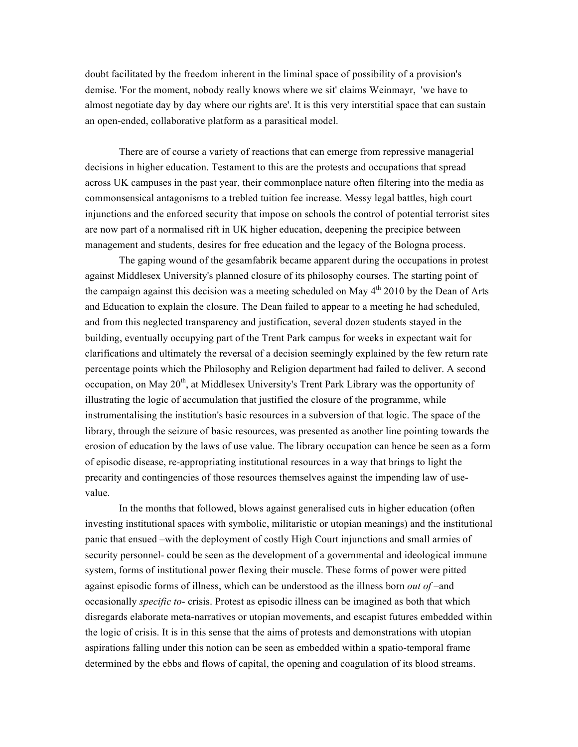doubt facilitated by the freedom inherent in the liminal space of possibility of a provision's demise. 'For the moment, nobody really knows where we sit' claims Weinmayr, 'we have to almost negotiate day by day where our rights are'. It is this very interstitial space that can sustain an open-ended, collaborative platform as a parasitical model.

There are of course a variety of reactions that can emerge from repressive managerial decisions in higher education. Testament to this are the protests and occupations that spread across UK campuses in the past year, their commonplace nature often filtering into the media as commonsensical antagonisms to a trebled tuition fee increase. Messy legal battles, high court injunctions and the enforced security that impose on schools the control of potential terrorist sites are now part of a normalised rift in UK higher education, deepening the precipice between management and students, desires for free education and the legacy of the Bologna process.

The gaping wound of the gesamfabrik became apparent during the occupations in protest against Middlesex University's planned closure of its philosophy courses. The starting point of the campaign against this decision was a meeting scheduled on May  $4<sup>th</sup>$  2010 by the Dean of Arts and Education to explain the closure. The Dean failed to appear to a meeting he had scheduled, and from this neglected transparency and justification, several dozen students stayed in the building, eventually occupying part of the Trent Park campus for weeks in expectant wait for clarifications and ultimately the reversal of a decision seemingly explained by the few return rate percentage points which the Philosophy and Religion department had failed to deliver. A second occupation, on May 20<sup>th</sup>, at Middlesex University's Trent Park Library was the opportunity of illustrating the logic of accumulation that justified the closure of the programme, while instrumentalising the institution's basic resources in a subversion of that logic. The space of the library, through the seizure of basic resources, was presented as another line pointing towards the erosion of education by the laws of use value. The library occupation can hence be seen as a form of episodic disease, re-appropriating institutional resources in a way that brings to light the precarity and contingencies of those resources themselves against the impending law of usevalue.

In the months that followed, blows against generalised cuts in higher education (often investing institutional spaces with symbolic, militaristic or utopian meanings) and the institutional panic that ensued –with the deployment of costly High Court injunctions and small armies of security personnel- could be seen as the development of a governmental and ideological immune system, forms of institutional power flexing their muscle. These forms of power were pitted against episodic forms of illness, which can be understood as the illness born *out of* –and occasionally *specific to*- crisis. Protest as episodic illness can be imagined as both that which disregards elaborate meta-narratives or utopian movements, and escapist futures embedded within the logic of crisis. It is in this sense that the aims of protests and demonstrations with utopian aspirations falling under this notion can be seen as embedded within a spatio-temporal frame determined by the ebbs and flows of capital, the opening and coagulation of its blood streams.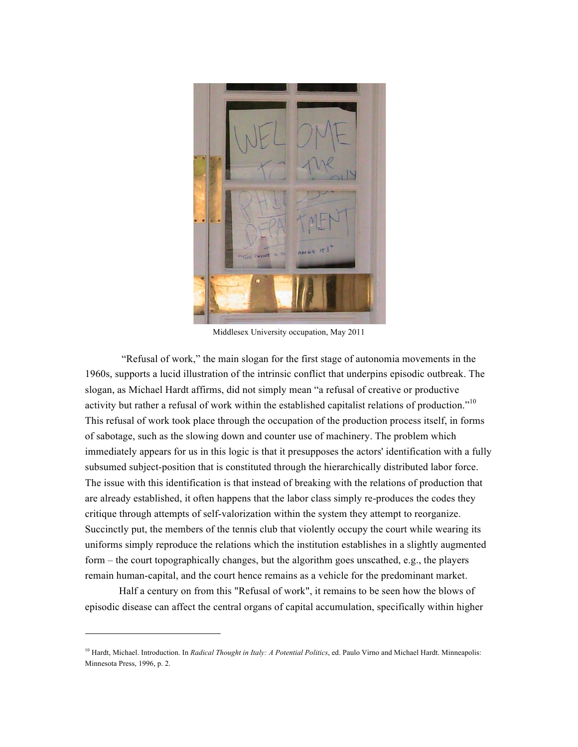

Middlesex University occupation, May 2011

"Refusal of work," the main slogan for the first stage of autonomia movements in the 1960s, supports a lucid illustration of the intrinsic conflict that underpins episodic outbreak. The slogan, as Michael Hardt affirms, did not simply mean "a refusal of creative or productive activity but rather a refusal of work within the established capitalist relations of production."<sup>10</sup> This refusal of work took place through the occupation of the production process itself, in forms of sabotage, such as the slowing down and counter use of machinery. The problem which immediately appears for us in this logic is that it presupposes the actors' identification with a fully subsumed subject-position that is constituted through the hierarchically distributed labor force. The issue with this identification is that instead of breaking with the relations of production that are already established, it often happens that the labor class simply re-produces the codes they critique through attempts of self-valorization within the system they attempt to reorganize. Succinctly put, the members of the tennis club that violently occupy the court while wearing its uniforms simply reproduce the relations which the institution establishes in a slightly augmented form – the court topographically changes, but the algorithm goes unscathed, e.g., the players remain human-capital, and the court hence remains as a vehicle for the predominant market.

Half a century on from this "Refusal of work", it remains to be seen how the blows of episodic disease can affect the central organs of capital accumulation, specifically within higher

<sup>&</sup>lt;sup>10</sup> Hardt, Michael. Introduction. In *Radical Thought in Italy: A Potential Politics*, ed. Paulo Virno and Michael Hardt. Minneapolis: Minnesota Press, 1996, p. 2.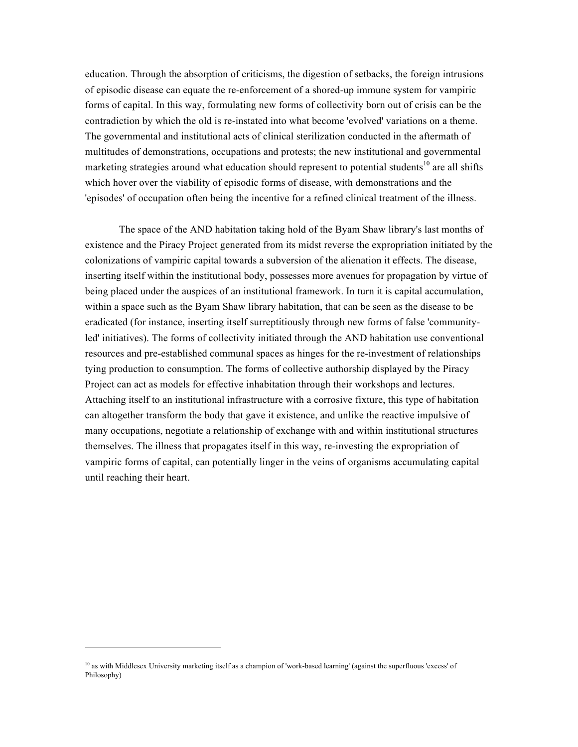education. Through the absorption of criticisms, the digestion of setbacks, the foreign intrusions of episodic disease can equate the re-enforcement of a shored-up immune system for vampiric forms of capital. In this way, formulating new forms of collectivity born out of crisis can be the contradiction by which the old is re-instated into what become 'evolved' variations on a theme. The governmental and institutional acts of clinical sterilization conducted in the aftermath of multitudes of demonstrations, occupations and protests; the new institutional and governmental marketing strategies around what education should represent to potential students<sup>10</sup> are all shifts which hover over the viability of episodic forms of disease, with demonstrations and the 'episodes' of occupation often being the incentive for a refined clinical treatment of the illness.

The space of the AND habitation taking hold of the Byam Shaw library's last months of existence and the Piracy Project generated from its midst reverse the expropriation initiated by the colonizations of vampiric capital towards a subversion of the alienation it effects. The disease, inserting itself within the institutional body, possesses more avenues for propagation by virtue of being placed under the auspices of an institutional framework. In turn it is capital accumulation, within a space such as the Byam Shaw library habitation, that can be seen as the disease to be eradicated (for instance, inserting itself surreptitiously through new forms of false 'communityled' initiatives). The forms of collectivity initiated through the AND habitation use conventional resources and pre-established communal spaces as hinges for the re-investment of relationships tying production to consumption. The forms of collective authorship displayed by the Piracy Project can act as models for effective inhabitation through their workshops and lectures. Attaching itself to an institutional infrastructure with a corrosive fixture, this type of habitation can altogether transform the body that gave it existence, and unlike the reactive impulsive of many occupations, negotiate a relationship of exchange with and within institutional structures themselves. The illness that propagates itself in this way, re-investing the expropriation of vampiric forms of capital, can potentially linger in the veins of organisms accumulating capital until reaching their heart.

 $10$  as with Middlesex University marketing itself as a champion of 'work-based learning' (against the superfluous 'excess' of Philosophy)